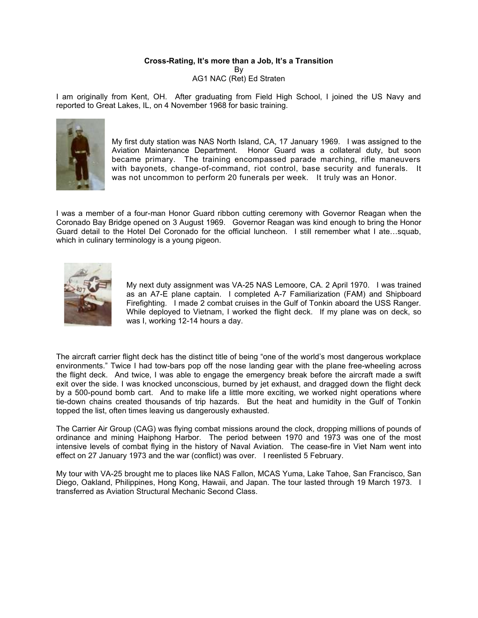# **Cross-Rating, It's more than a Job, It's a Transition**

By AG1 NAC (Ret) Ed Straten

I am originally from Kent, OH. After graduating from Field High School, I joined the US Navy and reported to Great Lakes, IL, on 4 November 1968 for basic training.



My first duty station was NAS North Island, CA, 17 January 1969. I was assigned to the Aviation Maintenance Department. Honor Guard was a collateral duty, but soon became primary. The training encompassed parade marching, rifle maneuvers with bayonets, change-of-command, riot control, base security and funerals. It was not uncommon to perform 20 funerals per week. It truly was an Honor.

I was a member of a four-man Honor Guard ribbon cutting ceremony with Governor Reagan when the Coronado Bay Bridge opened on 3 August 1969. Governor Reagan was kind enough to bring the Honor Guard detail to the Hotel Del Coronado for the official luncheon. I still remember what I ate…squab, which in culinary terminology is a young pigeon.



My next duty assignment was VA-25 NAS Lemoore, CA. 2 April 1970. I was trained as an A7-E plane captain. I completed A-7 Familiarization (FAM) and Shipboard Firefighting. I made 2 combat cruises in the Gulf of Tonkin aboard the USS Ranger. While deployed to Vietnam, I worked the flight deck. If my plane was on deck, so was I, working 12-14 hours a day.

The aircraft carrier flight deck has the distinct title of being "one of the world's most dangerous workplace environments." Twice I had tow-bars pop off the nose landing gear with the plane free-wheeling across the flight deck. And twice, I was able to engage the emergency break before the aircraft made a swift exit over the side. I was knocked unconscious, burned by jet exhaust, and dragged down the flight deck by a 500-pound bomb cart. And to make life a little more exciting, we worked night operations where tie-down chains created thousands of trip hazards. But the heat and humidity in the Gulf of Tonkin topped the list, often times leaving us dangerously exhausted.

The Carrier Air Group (CAG) was flying combat missions around the clock, dropping millions of pounds of ordinance and mining Haiphong Harbor. The period between 1970 and 1973 was one of the most intensive levels of combat flying in the history of Naval Aviation. The cease-fire in Viet Nam went into effect on 27 January 1973 and the war (conflict) was over. I reenlisted 5 February.

My tour with VA-25 brought me to places like NAS Fallon, MCAS Yuma, Lake Tahoe, San Francisco, San Diego, Oakland, Philippines, Hong Kong, Hawaii, and Japan. The tour lasted through 19 March 1973. I transferred as Aviation Structural Mechanic Second Class.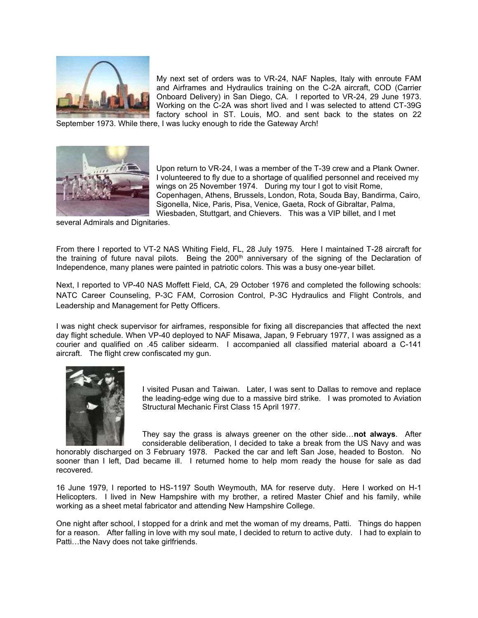

My next set of orders was to VR-24, NAF Naples, Italy with enroute FAM and Airframes and Hydraulics training on the C-2A aircraft, COD (Carrier Onboard Delivery) in San Diego, CA. I reported to VR-24, 29 June 1973. Working on the C-2A was short lived and I was selected to attend CT-39G factory school in ST. Louis, MO. and sent back to the states on 22

September 1973. While there, I was lucky enough to ride the Gateway Arch!



Upon return to VR-24, I was a member of the T-39 crew and a Plank Owner. I volunteered to fly due to a shortage of qualified personnel and received my wings on 25 November 1974. During my tour I got to visit Rome, Copenhagen, Athens, Brussels, London, Rota, Souda Bay, Bandirma, Cairo, Sigonella, Nice, Paris, Pisa, Venice, Gaeta, Rock of Gibraltar, Palma, Wiesbaden, Stuttgart, and Chievers. This was a VIP billet, and I met

several Admirals and Dignitaries.

From there I reported to VT-2 NAS Whiting Field, FL, 28 July 1975. Here I maintained T-28 aircraft for the training of future naval pilots. Being the  $200<sup>th</sup>$  anniversary of the signing of the Declaration of Independence, many planes were painted in patriotic colors. This was a busy one-year billet.

Next, I reported to VP-40 NAS Moffett Field, CA, 29 October 1976 and completed the following schools: NATC Career Counseling, P-3C FAM, Corrosion Control, P-3C Hydraulics and Flight Controls, and Leadership and Management for Petty Officers.

I was night check supervisor for airframes, responsible for fixing all discrepancies that affected the next day flight schedule. When VP-40 deployed to NAF Misawa, Japan, 9 February 1977, I was assigned as a courier and qualified on .45 caliber sidearm. I accompanied all classified material aboard a C-141 aircraft. The flight crew confiscated my gun.



I visited Pusan and Taiwan. Later, I was sent to Dallas to remove and replace the leading-edge wing due to a massive bird strike. I was promoted to Aviation Structural Mechanic First Class 15 April 1977.

They say the grass is always greener on the other side…**not always**. After considerable deliberation, I decided to take a break from the US Navy and was

honorably discharged on 3 February 1978. Packed the car and left San Jose, headed to Boston. No sooner than I left, Dad became ill. I returned home to help mom ready the house for sale as dad recovered.

16 June 1979, I reported to HS-1197 South Weymouth, MA for reserve duty. Here I worked on H-1 Helicopters. I lived in New Hampshire with my brother, a retired Master Chief and his family, while working as a sheet metal fabricator and attending New Hampshire College.

One night after school, I stopped for a drink and met the woman of my dreams, Patti. Things do happen for a reason. After falling in love with my soul mate, I decided to return to active duty. I had to explain to Patti…the Navy does not take girlfriends.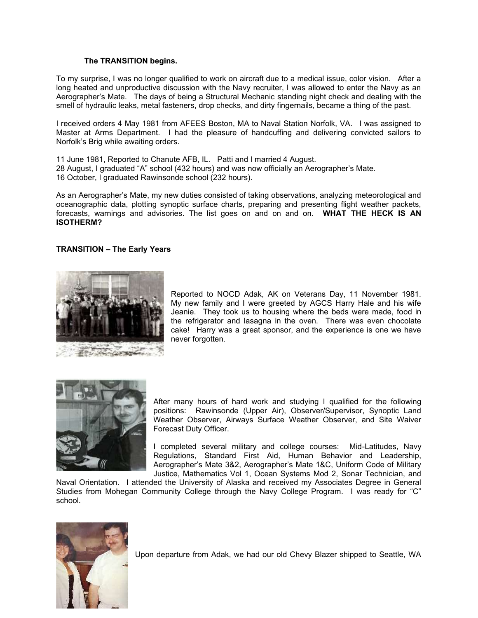#### **The TRANSITION begins.**

To my surprise, I was no longer qualified to work on aircraft due to a medical issue, color vision. After a long heated and unproductive discussion with the Navy recruiter, I was allowed to enter the Navy as an Aerographer's Mate. The days of being a Structural Mechanic standing night check and dealing with the smell of hydraulic leaks, metal fasteners, drop checks, and dirty fingernails, became a thing of the past.

I received orders 4 May 1981 from AFEES Boston, MA to Naval Station Norfolk, VA. I was assigned to Master at Arms Department. I had the pleasure of handcuffing and delivering convicted sailors to Norfolk's Brig while awaiting orders.

11 June 1981, Reported to Chanute AFB, IL. Patti and I married 4 August. 28 August, I graduated "A" school (432 hours) and was now officially an Aerographer's Mate. 16 October, I graduated Rawinsonde school (232 hours).

As an Aerographer's Mate, my new duties consisted of taking observations, analyzing meteorological and oceanographic data, plotting synoptic surface charts, preparing and presenting flight weather packets, forecasts, warnings and advisories. The list goes on and on and on. **WHAT THE HECK IS AN ISOTHERM?**

## **TRANSITION – The Early Years**



Reported to NOCD Adak, AK on Veterans Day, 11 November 1981. My new family and I were greeted by AGCS Harry Hale and his wife Jeanie. They took us to housing where the beds were made, food in the refrigerator and lasagna in the oven. There was even chocolate cake! Harry was a great sponsor, and the experience is one we have never forgotten.



After many hours of hard work and studying I qualified for the following positions: Rawinsonde (Upper Air), Observer/Supervisor, Synoptic Land Weather Observer, Airways Surface Weather Observer, and Site Waiver Forecast Duty Officer.

I completed several military and college courses: Mid-Latitudes, Navy Regulations, Standard First Aid, Human Behavior and Leadership, Aerographer's Mate 3&2, Aerographer's Mate 1&C, Uniform Code of Military Justice, Mathematics Vol 1, Ocean Systems Mod 2, Sonar Technician, and

Naval Orientation. I attended the University of Alaska and received my Associates Degree in General Studies from Mohegan Community College through the Navy College Program. I was ready for "C" school.



Upon departure from Adak, we had our old Chevy Blazer shipped to Seattle, WA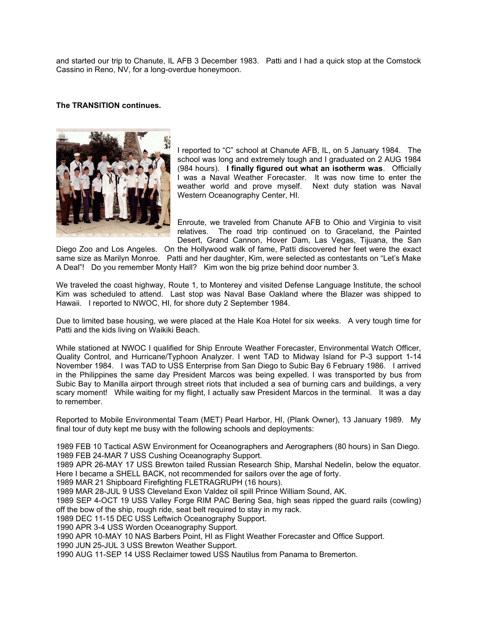and started our trip to Chanute, IL AFB 3 December 1983. Patti and I had a quick stop at the Comstock Cassino in Reno, NV, for a long-overdue honeymoon.

## **The TRANSITION continues.**



I reported to "C" school at Chanute AFB, IL, on 5 January 1984. The school was long and extremely tough and I graduated on 2 AUG 1984 (984 hours). **I finally figured out what an isotherm was**. Officially I was a Naval Weather Forecaster. It was now time to enter the weather world and prove myself. Next duty station was Naval Western Oceanography Center, HI.

Enroute, we traveled from Chanute AFB to Ohio and Virginia to visit relatives. The road trip continued on to Graceland, the Painted Desert, Grand Cannon, Hover Dam, Las Vegas, Tijuana, the San

Diego Zoo and Los Angeles. On the Hollywood walk of fame, Patti discovered her feet were the exact same size as Marilyn Monroe. Patti and her daughter, Kim, were selected as contestants on "Let's Make A Deal"! Do you remember Monty Hall? Kim won the big prize behind door number 3.

We traveled the coast highway, Route 1, to Monterey and visited Defense Language Institute, the school Kim was scheduled to attend. Last stop was Naval Base Oakland where the Blazer was shipped to Hawaii. I reported to NWOC, HI, for shore duty 2 September 1984.

Due to limited base housing, we were placed at the Hale Koa Hotel for six weeks. A very tough time for Patti and the kids living on Waikiki Beach.

While stationed at NWOC I qualified for Ship Enroute Weather Forecaster, Environmental Watch Officer, Quality Control, and Hurricane/Typhoon Analyzer. I went TAD to Midway Island for P-3 support 1-14 November 1984. I was TAD to USS Enterprise from San Diego to Subic Bay 6 February 1986. I arrived in the Philippines the same day President Marcos was being expelled. I was transported by bus from Subic Bay to Manilla airport through street riots that included a sea of burning cars and buildings, a very scary moment! While waiting for my flight, I actually saw President Marcos in the terminal. It was a day to remember.

Reported to Mobile Environmental Team (MET) Pearl Harbor, HI, (Plank Owner), 13 January 1989. My final tour of duty kept me busy with the following schools and deployments:

1989 FEB 10 Tactical ASW Environment for Oceanographers and Aerographers (80 hours) in San Diego. 1989 FEB 24-MAR 7 USS Cushing Oceanography Support.

1989 APR 26-MAY 17 USS Brewton tailed Russian Research Ship, Marshal Nedelin, below the equator. Here I became a SHELL BACK, not recommended for sailors over the age of forty.

1989 MAR 21 Shipboard Firefighting FLETRAGRUPH (16 hours).

1989 MAR 28-JUL 9 USS Cleveland Exon Valdez oil spill Prince William Sound, AK.

1989 SEP 4-OCT 19 USS Valley Forge RIM PAC Bering Sea, high seas ripped the guard rails (cowling) off the bow of the ship, rough ride, seat belt required to stay in my rack.

1989 DEC 11-15 DEC USS Leftwich Oceanography Support.

1990 APR 3-4 USS Worden Oceanography Support.

1990 APR 10-MAY 10 NAS Barbers Point, HI as Flight Weather Forecaster and Office Support.

1990 JUN 25-JUL 3 USS Brewton Weather Support.

1990 AUG 11-SEP 14 USS Reclaimer towed USS Nautilus from Panama to Bremerton.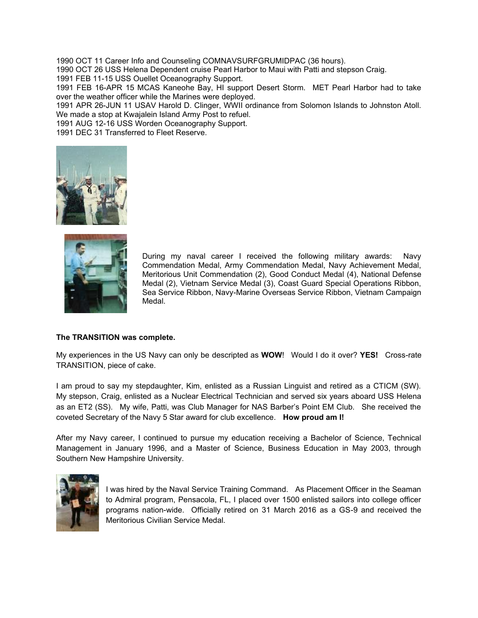1990 OCT 11 Career Info and Counseling COMNAVSURFGRUMIDPAC (36 hours).

1990 OCT 26 USS Helena Dependent cruise Pearl Harbor to Maui with Patti and stepson Craig.

1991 FEB 11-15 USS Ouellet Oceanography Support.

1991 FEB 16-APR 15 MCAS Kaneohe Bay, HI support Desert Storm. MET Pearl Harbor had to take over the weather officer while the Marines were deployed.

1991 APR 26-JUN 11 USAV Harold D. Clinger, WWII ordinance from Solomon Islands to Johnston Atoll. We made a stop at Kwajalein Island Army Post to refuel.

1991 AUG 12-16 USS Worden Oceanography Support.

1991 DEC 31 Transferred to Fleet Reserve.





During my naval career I received the following military awards: Navy Commendation Medal, Army Commendation Medal, Navy Achievement Medal, Meritorious Unit Commendation (2), Good Conduct Medal (4), National Defense Medal (2), Vietnam Service Medal (3), Coast Guard Special Operations Ribbon, Sea Service Ribbon, Navy-Marine Overseas Service Ribbon, Vietnam Campaign Medal.

#### **The TRANSITION was complete.**

My experiences in the US Navy can only be descripted as **WOW**! Would I do it over? **YES!** Cross-rate TRANSITION, piece of cake.

I am proud to say my stepdaughter, Kim, enlisted as a Russian Linguist and retired as a CTICM (SW). My stepson, Craig, enlisted as a Nuclear Electrical Technician and served six years aboard USS Helena as an ET2 (SS). My wife, Patti, was Club Manager for NAS Barber's Point EM Club. She received the coveted Secretary of the Navy 5 Star award for club excellence. **How proud am I!**

After my Navy career, I continued to pursue my education receiving a Bachelor of Science, Technical Management in January 1996, and a Master of Science, Business Education in May 2003, through Southern New Hampshire University.



I was hired by the Naval Service Training Command. As Placement Officer in the Seaman to Admiral program, Pensacola, FL, I placed over 1500 enlisted sailors into college officer programs nation-wide. Officially retired on 31 March 2016 as a GS-9 and received the Meritorious Civilian Service Medal.